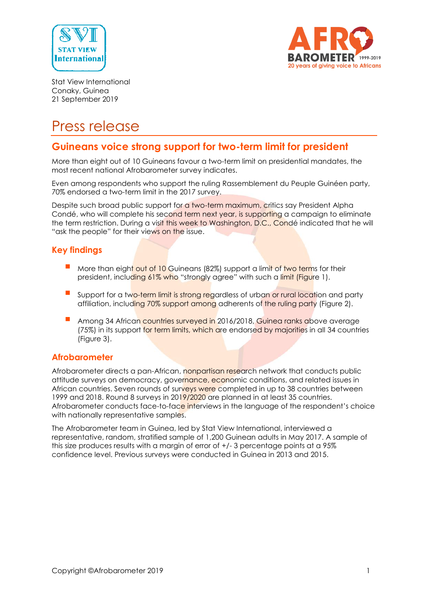



Stat View International Conaky, Guinea 21 September 2019

# Press release

# **Guineans voice strong support for two-term limit for president**

More than eight out of 10 Guineans favour a two-term limit on presidential mandates, the most recent national Afrobarometer survey indicates.

Even among respondents who support the ruling Rassemblement du Peuple Guinéen party, 70% endorsed a two-term limit in the 2017 survey.

Despite such broad public support for a two-term maximum, critics say President Alpha Condé, who will complete his second term next year, is supporting a campaign to eliminate the term restriction. During a visit this week to Washington, D.C., Condé indicated that he will "ask the people" for their views on the issue.

### **Key findings**

- More than eight out of 10 Guineans (82%) support a limit of two terms for their president, including 61% who "strongly agree" with such a limit (Figure 1).
- Support for a two-term limit is strong regardless of urban or rural location and party affiliation, including 70% support among adherents of the ruling party (Figure 2).
- Among 34 African countries surveyed in 2016/2018, Guinea ranks above average (75%) in its support for term limits, which are endorsed by majorities in all 34 countries (Figure 3).

#### **Afrobarometer**

Afrobarometer directs a pan-African, nonpartisan research network that conducts public attitude surveys on democracy, governance, economic conditions, and related issues in African countries. Seven rounds of surveys were completed in up to 38 countries between 1999 and 2018. Round 8 surveys in 2019/2020 are planned in at least 35 countries. Afrobarometer conducts face-to-face interviews in the language of the respondent's choice with nationally representative samples.

The Afrobarometer team in Guinea, led by Stat View International, interviewed a representative, random, stratified sample of 1,200 Guinean adults in May 2017. A sample of this size produces results with a margin of error of +/- 3 percentage points at a 95% confidence level. Previous surveys were conducted in Guinea in 2013 and 2015.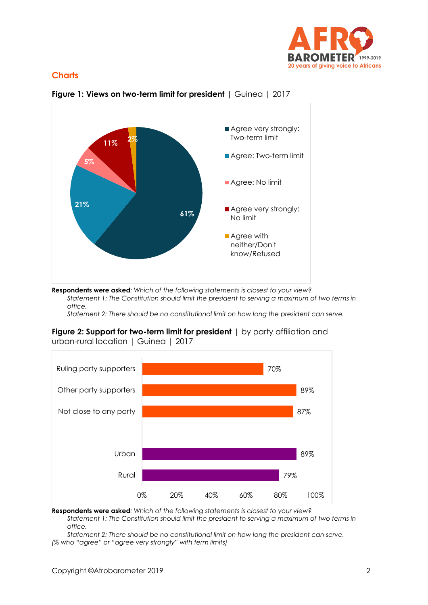

# **Charts**



**Figure 1: Views on two-term limit for president** | Guinea | 2017

**Respondents were asked***: Which of the following statements is closest to your view? Statement 1: The Constitution should limit the president to serving a maximum of two terms in office.*

*Statement 2: There should be no constitutional limit on how long the president can serve.*





**Respondents were asked***: Which of the following statements is closest to your view?*

*Statement 1: The Constitution should limit the president to serving a maximum of two terms in office.*

*Statement 2: There should be no constitutional limit on how long the president can serve. (% who "agree" or "agree very strongly" with term limits)*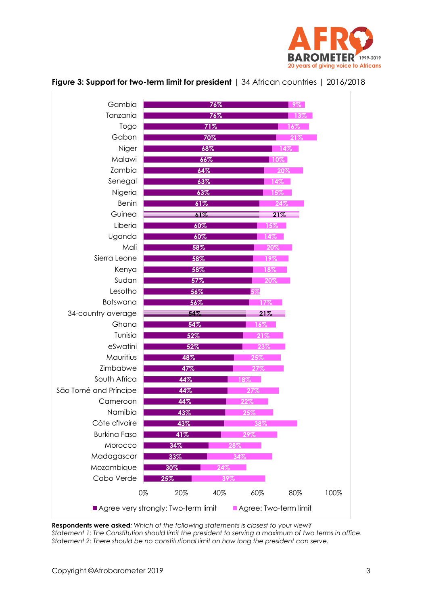

| Gambia                |     | 76%        |     | $9\%$  |      |
|-----------------------|-----|------------|-----|--------|------|
| Tanzania              |     | 76%        |     | 13%    |      |
| Togo                  |     | 71%        |     | 16%    |      |
| Gabon                 |     | 70%        |     | 21%    |      |
| Niger                 |     | 68%        |     | $14\%$ |      |
| Malawi                |     | 66%        |     | $10\%$ |      |
| Zambia                | 64% |            |     | 20%    |      |
| Senegal               | 63% |            |     | 14%    |      |
| Nigeria               | 63% |            |     | 15%    |      |
| Benin                 | 61% |            |     | 24%    |      |
| Guinea                | 61% |            |     | 21%    |      |
| Liberia               | 60% |            | 15% |        |      |
| Uganda                | 60% |            | 14% |        |      |
| Mali                  | 58% |            | 20% |        |      |
| Sierra Leone          | 58% |            | 19% |        |      |
| Kenya                 | 58% |            | 18% |        |      |
| Sudan                 |     | 57%<br>20% |     |        |      |
| Lesotho               | 56% |            | 5%  |        |      |
| Botswana              | 56% |            | 17% |        |      |
| 34-country average    | 54% |            | 21% |        |      |
| Ghana                 | 54% |            | 16% |        |      |
| Tunisia               | 52% |            | 21% |        |      |
| eSwatini              | 52% |            | 23% |        |      |
| Mauritius             | 48% |            | 25% |        |      |
| Zimbabwe              | 47% |            | 27% |        |      |
| South Africa          | 44% |            | 18% |        |      |
| São Tomé and Príncipe | 44% |            | 27% |        |      |
| Cameroon              | 44% |            | 22% |        |      |
| Namibia               | 43% |            |     |        |      |
| Côte d'Ivoire         | 43% |            | 38% |        |      |
| <b>Burkina Faso</b>   | 41% |            | 29% |        |      |
| Morocco               | 34% | 28%        |     |        |      |
| Madagascar            | 33% |            | 34% |        |      |
| Mozambique            | 30% | 24%        |     |        |      |
| Cabo Verde            | 25% | 39%        |     |        |      |
| 0%                    | 20% | 40%        | 60% | 80%    | 100% |

#### **Figure 3: Support for two-term limit for president** | 34 African countries | 2016/2018

**Respondents were asked***: Which of the following statements is closest to your view? Statement 1: The Constitution should limit the president to serving a maximum of two terms in office. Statement 2: There should be no constitutional limit on how long the president can serve.*